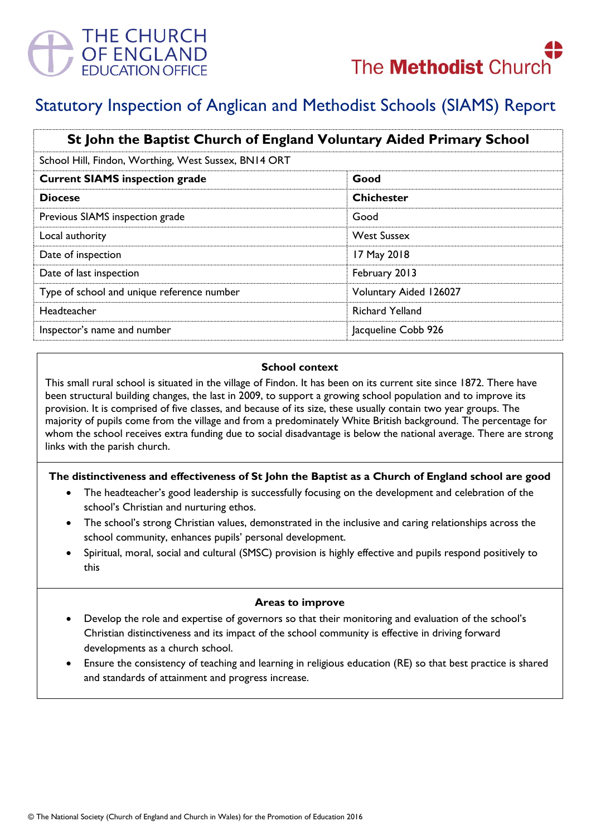

# Statutory Inspection of Anglican and Methodist Schools (SIAMS) Report

| St John the Baptist Church of England Voluntary Aided Primary School |                        |
|----------------------------------------------------------------------|------------------------|
| School Hill, Findon, Worthing, West Sussex, BN14 ORT                 |                        |
| <b>Current SIAMS inspection grade</b>                                | Good                   |
| <b>Diocese</b>                                                       | <b>Chichester</b>      |
| Previous SIAMS inspection grade                                      | Good                   |
| Local authority                                                      | <b>West Sussex</b>     |
| Date of inspection                                                   | 17 May 2018            |
| Date of last inspection                                              | February 2013          |
| Type of school and unique reference number                           | Voluntary Aided 126027 |
| Headteacher                                                          | <b>Richard Yelland</b> |
| Inspector's name and number                                          | Jacqueline Cobb 926    |

### **School context**

This small rural school is situated in the village of Findon. It has been on its current site since 1872. There have been structural building changes, the last in 2009, to support a growing school population and to improve its provision. It is comprised of five classes, and because of its size, these usually contain two year groups. The majority of pupils come from the village and from a predominately White British background. The percentage for whom the school receives extra funding due to social disadvantage is below the national average. There are strong links with the parish church.

## **The distinctiveness and effectiveness of St John the Baptist as a Church of England school are good**

- The headteacher's good leadership is successfully focusing on the development and celebration of the school's Christian and nurturing ethos.
- The school's strong Christian values, demonstrated in the inclusive and caring relationships across the school community, enhances pupils' personal development.
- Spiritual, moral, social and cultural (SMSC) provision is highly effective and pupils respond positively to this

### **Areas to improve**

- Develop the role and expertise of governors so that their monitoring and evaluation of the school's Christian distinctiveness and its impact of the school community is effective in driving forward developments as a church school.
- Ensure the consistency of teaching and learning in religious education (RE) so that best practice is shared and standards of attainment and progress increase.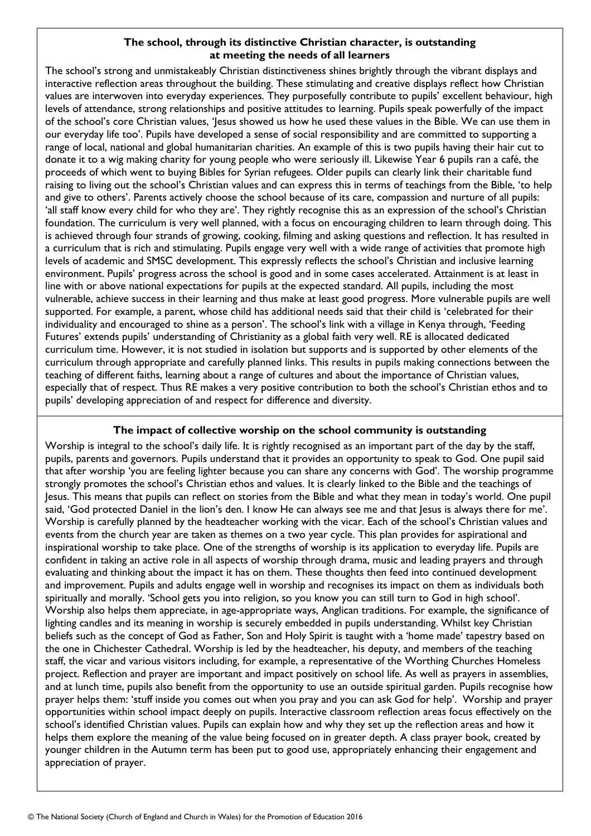## **The school, through its distinctive Christian character, is outstanding at meeting the needs of all learners**

The school's strong and unmistakeably Christian distinctiveness shines brightly through the vibrant displays and interactive reflection areas throughout the building. These stimulating and creative displays reflect how Christian values are interwoven into everyday experiences. They purposefully contribute to pupils' excellent behaviour, high levels of attendance, strong relationships and positive attitudes to learning. Pupils speak powerfully of the impact of the school's core Christian values, 'Jesus showed us how he used these values in the Bible. We can use them in our everyday life too'. Pupils have developed a sense of social responsibility and are committed to supporting a range of local, national and global humanitarian charities. An example of this is two pupils having their hair cut to donate it to a wig making charity for young people who were seriously ill. Likewise Year 6 pupils ran a café, the proceeds of which went to buying Bibles for Syrian refugees. Older pupils can clearly link their charitable fund raising to living out the school's Christian values and can express this in terms of teachings from the Bible, 'to help and give to others'. Parents actively choose the school because of its care, compassion and nurture of all pupils: 'all staff know every child for who they are'. They rightly recognise this as an expression of the school's Christian foundation. The curriculum is very well planned, with a focus on encouraging children to learn through doing. This is achieved through four strands of growing, cooking, filming and asking questions and reflection. It has resulted in a curriculum that is rich and stimulating. Pupils engage very well with a wide range of activities that promote high levels of academic and SMSC development. This expressly reflects the school's Christian and inclusive learning environment. Pupils' progress across the school is good and in some cases accelerated. Attainment is at least in line with or above national expectations for pupils at the expected standard. All pupils, including the most vulnerable, achieve success in their learning and thus make at least good progress. More vulnerable pupils are well supported. For example, a parent, whose child has additional needs said that their child is 'celebrated for their individuality and encouraged to shine as a person'. The school's link with a village in Kenya through, 'Feeding Futures' extends pupils' understanding of Christianity as a global faith very well. RE is allocated dedicated curriculum time. However, it is not studied in isolation but supports and is supported by other elements of the curriculum through appropriate and carefully planned links. This results in pupils making connections between the teaching of different faiths, learning about a range of cultures and about the importance of Christian values, especially that of respect. Thus RE makes a very positive contribution to both the school's Christian ethos and to pupils' developing appreciation of and respect for difference and diversity.

## **The impact of collective worship on the school community is outstanding**

Worship is integral to the school's daily life. It is rightly recognised as an important part of the day by the staff, pupils, parents and governors. Pupils understand that it provides an opportunity to speak to God. One pupil said that after worship 'you are feeling lighter because you can share any concerns with God'. The worship programme strongly promotes the school's Christian ethos and values. It is clearly linked to the Bible and the teachings of Jesus. This means that pupils can reflect on stories from the Bible and what they mean in today's world. One pupil said, 'God protected Daniel in the lion's den. I know He can always see me and that Jesus is always there for me'. Worship is carefully planned by the headteacher working with the vicar. Each of the school's Christian values and events from the church year are taken as themes on a two year cycle. This plan provides for aspirational and inspirational worship to take place. One of the strengths of worship is its application to everyday life. Pupils are confident in taking an active role in all aspects of worship through drama, music and leading prayers and through evaluating and thinking about the impact it has on them. These thoughts then feed into continued development and improvement. Pupils and adults engage well in worship and recognises its impact on them as individuals both spiritually and morally. 'School gets you into religion, so you know you can still turn to God in high school'. Worship also helps them appreciate, in age-appropriate ways, Anglican traditions. For example, the significance of lighting candles and its meaning in worship is securely embedded in pupils understanding. Whilst key Christian beliefs such as the concept of God as Father, Son and Holy Spirit is taught with a 'home made' tapestry based on the one in Chichester Cathedral. Worship is led by the headteacher, his deputy, and members of the teaching staff, the vicar and various visitors including, for example, a representative of the Worthing Churches Homeless project. Reflection and prayer are important and impact positively on school life. As well as prayers in assemblies, and at lunch time, pupils also benefit from the opportunity to use an outside spiritual garden. Pupils recognise how prayer helps them: 'stuff inside you comes out when you pray and you can ask God for help'. Worship and prayer opportunities within school impact deeply on pupils. Interactive classroom reflection areas focus effectively on the school's identified Christian values. Pupils can explain how and why they set up the reflection areas and how it helps them explore the meaning of the value being focused on in greater depth. A class prayer book, created by younger children in the Autumn term has been put to good use, appropriately enhancing their engagement and appreciation of prayer.